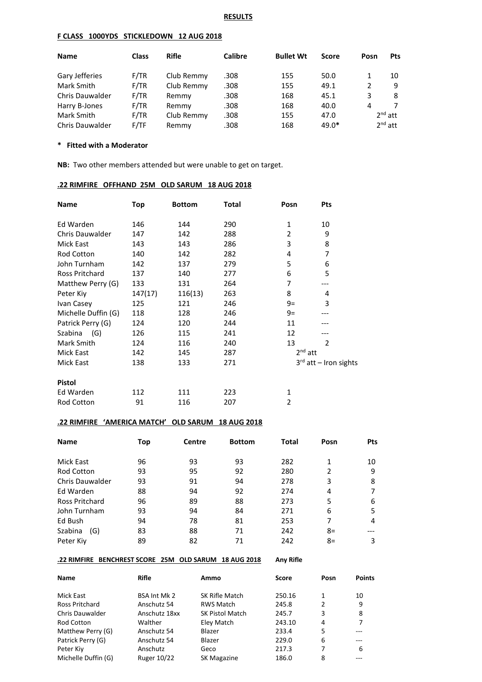#### **F CLASS 1000YDS STICKLEDOWN 12 AUG 2018**

| <b>Name</b>            | <b>Class</b> | <b>Rifle</b> | <b>Calibre</b> | <b>Bullet Wt</b> | <b>Score</b> | Posn | <b>Pts</b> |
|------------------------|--------------|--------------|----------------|------------------|--------------|------|------------|
| Gary Jefferies         | F/TR         | Club Remmy   | .308           | 155              | 50.0         | 1    | 10         |
| Mark Smith             | F/TR         | Club Remmy   | .308           | 155              | 49.1         | 2    | -9         |
| <b>Chris Dauwalder</b> | F/TR         | Remmy        | .308           | 168              | 45.1         | 3    | 8          |
| Harry B-Jones          | F/TR         | Remmy        | .308           | 168              | 40.0         | 4    |            |
| Mark Smith             | F/TR         | Club Remmy   | .308           | 155              | 47.0         |      | $2nd$ att  |
| <b>Chris Dauwalder</b> | F/TF         | Remmy        | .308           | 168              | 49.0*        |      | $2nd$ att  |

#### **\* Fitted with a Moderator**

**NB:** Two other members attended but were unable to get on target.

#### **.22 RIMFIRE OFFHAND 25M OLD SARUM 18 AUG 2018**

| Name                | Top     | <b>Bottom</b> | Total | Posn           | <b>Pts</b>              |  |
|---------------------|---------|---------------|-------|----------------|-------------------------|--|
| Ed Warden           | 146     | 144           | 290   | 1              | 10                      |  |
| Chris Dauwalder     | 147     | 142           | 288   | 2              | 9                       |  |
| Mick East           | 143     | 143           | 286   | 3              | 8                       |  |
| Rod Cotton          | 140     | 142           | 282   | 4              | 7                       |  |
| John Turnham        | 142     | 137           | 279   | 5              | 6                       |  |
| Ross Pritchard      | 137     | 140           | 277   | 6              | 5                       |  |
| Matthew Perry (G)   | 133     | 131           | 264   | 7              | ---                     |  |
| Peter Kiy           | 147(17) | 116(13)       | 263   | 8              | 4                       |  |
| Ivan Casey          | 125     | 121           | 246   | 9=             | 3                       |  |
| Michelle Duffin (G) | 118     | 128           | 246   | $9=$           |                         |  |
| Patrick Perry (G)   | 124     | 120           | 244   | 11             |                         |  |
| Szabina<br>(G)      | 126     | 115           | 241   | 12             |                         |  |
| Mark Smith          | 124     | 116           | 240   | 13             | $\overline{2}$          |  |
| Mick East           | 142     | 145           | 287   | $2nd$ att      |                         |  |
| Mick East           | 138     | 133           | 271   |                | $3rd$ att – Iron sights |  |
| <b>Pistol</b>       |         |               |       |                |                         |  |
| Ed Warden           | 112     | 111           | 223   | 1              |                         |  |
| Rod Cotton          | 91      | 116           | 207   | $\overline{2}$ |                         |  |

# **.22 RIMFIRE 'AMERICA MATCH' OLD SARUM 18 AUG 2018**

| <b>Name</b>            | Top | <b>Centre</b> | <b>Bottom</b> | Total | Posn | <b>Pts</b> |
|------------------------|-----|---------------|---------------|-------|------|------------|
| Mick East              | 96  | 93            | 93            | 282   |      | 10         |
| <b>Rod Cotton</b>      | 93  | 95            | 92            | 280   | 2    | 9          |
| <b>Chris Dauwalder</b> | 93  | 91            | 94            | 278   | 3    | 8          |
| Ed Warden              | 88  | 94            | 92            | 274   | 4    |            |
| <b>Ross Pritchard</b>  | 96  | 89            | 88            | 273   | 5    | 6          |
| John Turnham           | 93  | 94            | 84            | 271   | 6    | 5          |
| Ed Bush                | 94  | 78            | 81            | 253   |      | 4          |
| Szabina<br>(G)         | 83  | 88            | 71            | 242   | 8=   |            |
| Peter Kiv              | 89  | 82            | 71            | 242   | $8=$ | 3          |

#### **.22 RIMFIRE BENCHREST SCORE 25M OLD SARUM 18 AUG 2018 Any Rifle**

| <b>Name</b>         | <b>Rifle</b>        | Ammo                   | <b>Score</b> | Posn | <b>Points</b> |
|---------------------|---------------------|------------------------|--------------|------|---------------|
| Mick East           | <b>BSA Int Mk 2</b> | SK Rifle Match         | 250.16       | 1    | 10            |
| Ross Pritchard      | Anschutz 54         | <b>RWS Match</b>       | 245.8        | 2    | 9             |
| Chris Dauwalder     | Anschutz 18xx       | <b>SK Pistol Match</b> | 245.7        | 3    | 8             |
| <b>Rod Cotton</b>   | Walther             | Eley Match             | 243.10       | 4    | 7             |
| Matthew Perry (G)   | Anschutz 54         | Blazer                 | 233.4        | 5    |               |
| Patrick Perry (G)   | Anschutz 54         | Blazer                 | 229.0        | 6    | ---           |
| Peter Kiy           | Anschutz            | Geco                   | 217.3        | 7    | 6             |
| Michelle Duffin (G) | Ruger 10/22         | SK Magazine            | 186.0        | 8    |               |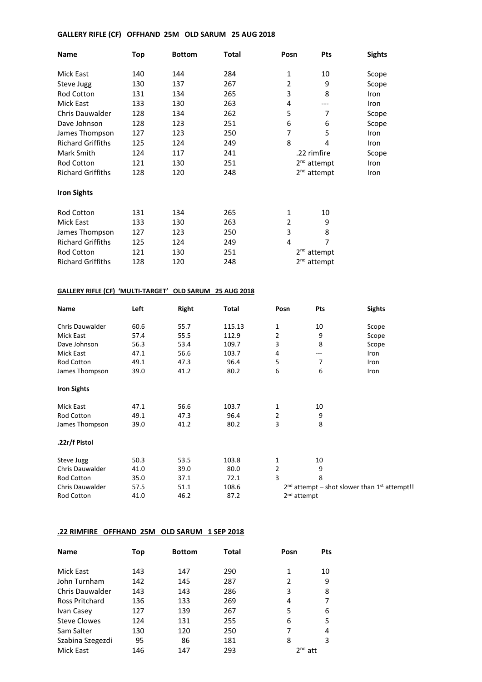## **GALLERY RIFLE (CF) OFFHAND 25M OLD SARUM 25 AUG 2018**

| Name                     | Top | <b>Bottom</b> | <b>Total</b> | Posn            | Pts                     | <b>Sights</b> |
|--------------------------|-----|---------------|--------------|-----------------|-------------------------|---------------|
| Mick East                | 140 | 144           | 284          | 1               | 10                      | Scope         |
| Steve Jugg               | 130 | 137           | 267          | $\overline{2}$  | 9                       | Scope         |
| Rod Cotton               | 131 | 134           | 265          | 3               | 8                       | Iron          |
| Mick East                | 133 | 130           | 263          | 4               |                         | Iron          |
| <b>Chris Dauwalder</b>   | 128 | 134           | 262          | 5               | 7                       | Scope         |
| Dave Johnson             | 128 | 123           | 251          | 6               | 6                       | Scope         |
| James Thompson           | 127 | 123           | 250          | 7               | 5                       | Iron          |
| <b>Richard Griffiths</b> | 125 | 124           | 249          | 8               | 4                       | Iron          |
| Mark Smith               | 124 | 117           | 241          |                 | .22 rimfire             |               |
| <b>Rod Cotton</b>        | 121 | 130           | 251          |                 | 2 <sup>nd</sup> attempt | Iron          |
| <b>Richard Griffiths</b> | 128 | 120           | 248          |                 | 2 <sup>nd</sup> attempt | Iron          |
| <b>Iron Sights</b>       |     |               |              |                 |                         |               |
| <b>Rod Cotton</b>        | 131 | 134           | 265          | 1               | 10                      |               |
| Mick East                | 133 | 130           | 263          | 2               | 9                       |               |
| James Thompson           | 127 | 123           | 250          | 3               | 8                       |               |
| <b>Richard Griffiths</b> | 125 | 124           | 249          | 4               | 7                       |               |
| <b>Rod Cotton</b>        | 121 | 130           | 251          | 2 <sup>nd</sup> | attempt                 |               |
| <b>Richard Griffiths</b> | 128 | 120           | 248          |                 | 2 <sup>nd</sup> attempt |               |

# **GALLERY RIFLE (CF) 'MULTI-TARGET' OLD SARUM 25 AUG 2018**

| Name               | Left | Right | <b>Total</b> | Posn                    | Pts | <b>Sights</b>                                    |
|--------------------|------|-------|--------------|-------------------------|-----|--------------------------------------------------|
| Chris Dauwalder    | 60.6 | 55.7  | 115.13       | $\mathbf{1}$            | 10  | Scope                                            |
| Mick East          | 57.4 | 55.5  | 112.9        | 2                       | 9   | Scope                                            |
| Dave Johnson       | 56.3 | 53.4  | 109.7        | 3                       | 8   | Scope                                            |
| Mick East          | 47.1 | 56.6  | 103.7        | 4                       | --- | Iron                                             |
| <b>Rod Cotton</b>  | 49.1 | 47.3  | 96.4         | 5                       | 7   | Iron                                             |
| James Thompson     | 39.0 | 41.2  | 80.2         | 6                       | 6   | Iron                                             |
| <b>Iron Sights</b> |      |       |              |                         |     |                                                  |
| Mick East          | 47.1 | 56.6  | 103.7        | 1                       | 10  |                                                  |
| <b>Rod Cotton</b>  | 49.1 | 47.3  | 96.4         | 2                       | 9   |                                                  |
| James Thompson     | 39.0 | 41.2  | 80.2         | 3                       | 8   |                                                  |
| .22r/f Pistol      |      |       |              |                         |     |                                                  |
| Steve Jugg         | 50.3 | 53.5  | 103.8        | 1                       | 10  |                                                  |
| Chris Dauwalder    | 41.0 | 39.0  | 80.0         | $\overline{2}$          | 9   |                                                  |
| Rod Cotton         | 35.0 | 37.1  | 72.1         | 3                       | 8   |                                                  |
| Chris Dauwalder    | 57.5 | 51.1  | 108.6        |                         |     | $2nd$ attempt – shot slower than $1st$ attempt!! |
| <b>Rod Cotton</b>  | 41.0 | 46.2  | 87.2         | 2 <sup>nd</sup> attempt |     |                                                  |

#### **.22 RIMFIRE OFFHAND 25M OLD SARUM 1 SEP 2018**

| <b>Name</b>           | Top | <b>Bottom</b> | <b>Total</b> | Posn      | <b>Pts</b> |
|-----------------------|-----|---------------|--------------|-----------|------------|
| Mick East             | 143 | 147           | 290          | 1         | 10         |
| John Turnham          | 142 | 145           | 287          | 2         | 9          |
| Chris Dauwalder       | 143 | 143           | 286          | 3         | 8          |
| <b>Ross Pritchard</b> | 136 | 133           | 269          | 4         | 7          |
| Ivan Casey            | 127 | 139           | 267          | 5         | 6          |
| <b>Steve Clowes</b>   | 124 | 131           | 255          | 6         | 5          |
| Sam Salter            | 130 | 120           | 250          | 7         | 4          |
| Szabina Szegezdi      | 95  | 86            | 181          | 8         | 3          |
| <b>Mick East</b>      | 146 | 147           | 293          | $2nd$ att |            |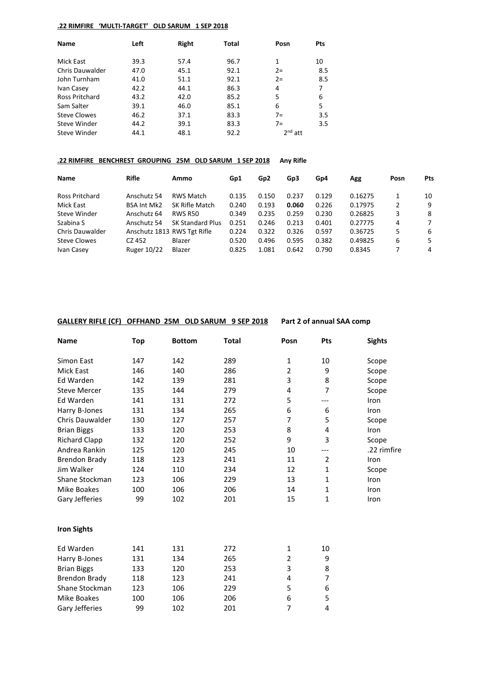## **.22 RIMFIRE 'MULTI-TARGET' OLD SARUM 1 SEP 2018**

| Left | Right | <b>Total</b> | Posn  | Pts            |
|------|-------|--------------|-------|----------------|
|      |       |              |       |                |
|      |       |              |       | 10             |
| 47.0 | 45.1  | 92.1         | $2=$  | 8.5            |
| 41.0 | 51.1  | 92.1         | $2=$  | 8.5            |
| 42.2 | 44.1  | 86.3         | 4     |                |
| 43.2 | 42.0  | 85.2         | 5     | 6              |
| 39.1 | 46.0  | 85.1         | 6     | 5              |
| 46.2 | 37.1  | 83.3         | $7 =$ | 3.5            |
| 44.2 | 39.1  | 83.3         | $7 =$ | 3.5            |
| 44.1 | 48.1  | 92.2         |       |                |
|      | 39.3  | 57.4         | 96.7  | 1<br>$2nd$ att |

## **.22 RIMFIRE BENCHREST GROUPING 25M OLD SARUM 1 SEP 2018 Any Rifle**

| <b>Name</b>            | <b>Rifle</b>                | Ammo                    | Gp1   | Gp <sub>2</sub> | Gp3   | Gp4   | Agg     | Posn | <b>Pts</b> |
|------------------------|-----------------------------|-------------------------|-------|-----------------|-------|-------|---------|------|------------|
| <b>Ross Pritchard</b>  | Anschutz 54                 | RWS Match               | 0.135 | 0.150           | 0.237 | 0.129 | 0.16275 |      | 10         |
| Mick East              | <b>BSA Int Mk2</b>          | SK Rifle Match          | 0.240 | 0.193           | 0.060 | 0.226 | 0.17975 | 2    | 9          |
| Steve Winder           | Anschutz 64                 | <b>RWS R50</b>          | 0.349 | 0.235           | 0.259 | 0.230 | 0.26825 | 3    | 8          |
| Szabina S              | Anschutz 54                 | <b>SK Standard Plus</b> | 0.251 | 0.246           | 0.213 | 0.401 | 0.27775 | 4    | 7          |
| <b>Chris Dauwalder</b> | Anschutz 1813 RWS Tgt Rifle |                         | 0.224 | 0.322           | 0.326 | 0.597 | 0.36725 | 5    | 6          |
| Steve Clowes           | CZ 452                      | Blazer                  | 0.520 | 0.496           | 0.595 | 0.382 | 0.49825 | 6    | 5          |
| Ivan Casey             | <b>Ruger 10/22</b>          | Blazer                  | 0.825 | 1.081           | 0.642 | 0.790 | 0.8345  |      | 4          |

# **GALLERY RIFLE (CF) OFFHAND 25M OLD SARUM 9 SEP 2018 Part 2 of annual SAA comp**

| <b>Name</b>            | Top | <b>Bottom</b> | <b>Total</b> | Posn           | Pts          | <b>Sights</b> |
|------------------------|-----|---------------|--------------|----------------|--------------|---------------|
| Simon East             | 147 | 142           | 289          | 1              | 10           | Scope         |
| <b>Mick East</b>       | 146 | 140           | 286          | $\overline{2}$ | 9            | Scope         |
| Ed Warden              | 142 | 139           | 281          | 3              | 8            | Scope         |
| <b>Steve Mercer</b>    | 135 | 144           | 279          | 4              | 7            | Scope         |
| Ed Warden              | 141 | 131           | 272          | 5              | ---          | Iron          |
| Harry B-Jones          | 131 | 134           | 265          | 6              | 6            | Iron          |
| <b>Chris Dauwalder</b> | 130 | 127           | 257          | $\overline{7}$ | 5            | Scope         |
| <b>Brian Biggs</b>     | 133 | 120           | 253          | 8              | 4            | Iron          |
| <b>Richard Clapp</b>   | 132 | 120           | 252          | 9              | 3            | Scope         |
| Andrea Rankin          | 125 | 120           | 245          | 10             | ---          | .22 rimfire   |
| <b>Brendon Brady</b>   | 118 | 123           | 241          | 11             | 2            | Iron          |
| Jim Walker             | 124 | 110           | 234          | 12             | $\mathbf{1}$ | Scope         |
| Shane Stockman         | 123 | 106           | 229          | 13             | $\mathbf{1}$ | Iron          |
| <b>Mike Boakes</b>     | 100 | 106           | 206          | 14             | $\mathbf{1}$ | Iron          |
| Gary Jefferies         | 99  | 102           | 201          | 15             | $\mathbf{1}$ | Iron          |
| <b>Iron Sights</b>     |     |               |              |                |              |               |
| Ed Warden              | 141 | 131           | 272          | 1              | 10           |               |
| Harry B-Jones          | 131 | 134           | 265          | $\overline{2}$ | 9            |               |
| <b>Brian Biggs</b>     | 133 | 120           | 253          | 3              | 8            |               |
| <b>Brendon Brady</b>   | 118 | 123           | 241          | 4              | 7            |               |
| Shane Stockman         | 123 | 106           | 229          | 5              | 6            |               |
| Mike Boakes            | 100 | 106           | 206          | 6              | 5            |               |
| Gary Jefferies         | 99  | 102           | 201          | $\overline{7}$ | 4            |               |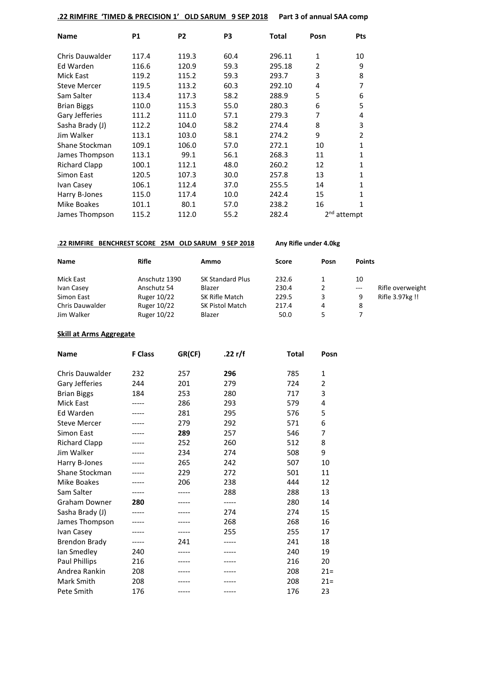## **.22 RIMFIRE 'TIMED & PRECISION 1' OLD SARUM 9 SEP 2018 Part 3 of annual SAA comp**

| <b>Name</b>          | <b>P1</b> | P <sub>2</sub> | P3   | Total  | Posn | <b>Pts</b>              |
|----------------------|-----------|----------------|------|--------|------|-------------------------|
| Chris Dauwalder      | 117.4     | 119.3          | 60.4 | 296.11 | 1    | 10                      |
| Ed Warden            | 116.6     | 120.9          | 59.3 | 295.18 | 2    | 9                       |
| <b>Mick East</b>     | 119.2     | 115.2          | 59.3 | 293.7  | 3    | 8                       |
| <b>Steve Mercer</b>  | 119.5     | 113.2          | 60.3 | 292.10 | 4    | 7                       |
| Sam Salter           | 113.4     | 117.3          | 58.2 | 288.9  | 5    | 6                       |
| <b>Brian Biggs</b>   | 110.0     | 115.3          | 55.0 | 280.3  | 6    | 5                       |
| Gary Jefferies       | 111.2     | 111.0          | 57.1 | 279.3  | 7    | 4                       |
| Sasha Brady (J)      | 112.2     | 104.0          | 58.2 | 274.4  | 8    | 3                       |
| Jim Walker           | 113.1     | 103.0          | 58.1 | 274.2  | 9    | 2                       |
| Shane Stockman       | 109.1     | 106.0          | 57.0 | 272.1  | 10   | 1                       |
| James Thompson       | 113.1     | 99.1           | 56.1 | 268.3  | 11   | 1                       |
| <b>Richard Clapp</b> | 100.1     | 112.1          | 48.0 | 260.2  | 12   | 1                       |
| Simon East           | 120.5     | 107.3          | 30.0 | 257.8  | 13   | 1                       |
| Ivan Casey           | 106.1     | 112.4          | 37.0 | 255.5  | 14   | 1                       |
| Harry B-Jones        | 115.0     | 117.4          | 10.0 | 242.4  | 15   | 1                       |
| Mike Boakes          | 101.1     | 80.1           | 57.0 | 238.2  | 16   | 1                       |
| James Thompson       | 115.2     | 112.0          | 55.2 | 282.4  |      | 2 <sup>nd</sup> attempt |

## **.22 RIMFIRE BENCHREST SCORE 25M OLD SARUM 9 SEP 2018 Any Rifle under 4.0kg**

| <b>Name</b>            | <b>Rifle</b>  | Ammo                    | Score | Posn | <b>Points</b> |                  |
|------------------------|---------------|-------------------------|-------|------|---------------|------------------|
| Mick East              | Anschutz 1390 | <b>SK Standard Plus</b> | 232.6 |      | 10            |                  |
| Ivan Casey             | Anschutz 54   | Blazer                  | 230.4 | 2    | $---$         | Rifle overweight |
| Simon East             | Ruger 10/22   | SK Rifle Match          | 229.5 | 3    | 9             | Rifle 3.97kg !!  |
| <b>Chris Dauwalder</b> | Ruger 10/22   | SK Pistol Match         | 217.4 | 4    | 8             |                  |
| Jim Walker             | Ruger 10/22   | Blazer                  | 50.0  |      |               |                  |

# **Skill at Arms Aggregate**

| <b>Name</b>            | <b>F</b> Class | GR(CF) | .22 r/f | <b>Total</b> | Posn           |
|------------------------|----------------|--------|---------|--------------|----------------|
| <b>Chris Dauwalder</b> | 232            | 257    | 296     | 785          | $\mathbf{1}$   |
| Gary Jefferies         | 244            | 201    | 279     | 724          | 2              |
| <b>Brian Biggs</b>     | 184            | 253    | 280     | 717          | 3              |
| <b>Mick East</b>       |                | 286    | 293     | 579          | 4              |
| Ed Warden              |                | 281    | 295     | 576          | 5              |
|                        |                |        |         |              |                |
| <b>Steve Mercer</b>    |                | 279    | 292     | 571          | 6              |
| <b>Simon East</b>      |                | 289    | 257     | 546          | $\overline{7}$ |
| <b>Richard Clapp</b>   |                | 252    | 260     | 512          | 8              |
| Jim Walker             |                | 234    | 274     | 508          | 9              |
| Harry B-Jones          |                | 265    | 242     | 507          | 10             |
| Shane Stockman         |                | 229    | 272     | 501          | 11             |
| Mike Boakes            |                | 206    | 238     | 444          | 12             |
| Sam Salter             |                |        | 288     | 288          | 13             |
| <b>Graham Downer</b>   | 280            |        | -----   | 280          | 14             |
| Sasha Brady (J)        |                |        | 274     | 274          | 15             |
| James Thompson         |                |        | 268     | 268          | 16             |
| Ivan Casey             |                |        | 255     | 255          | 17             |
| <b>Brendon Brady</b>   |                | 241    |         | 241          | 18             |
| lan Smedley            | 240            | ----   |         | 240          | 19             |
| Paul Phillips          | 216            |        |         | 216          | 20             |
| Andrea Rankin          | 208            |        |         | 208          | $21 =$         |
| Mark Smith             | 208            |        |         | 208          | $21 =$         |
| Pete Smith             | 176            |        | -----   | 176          | 23             |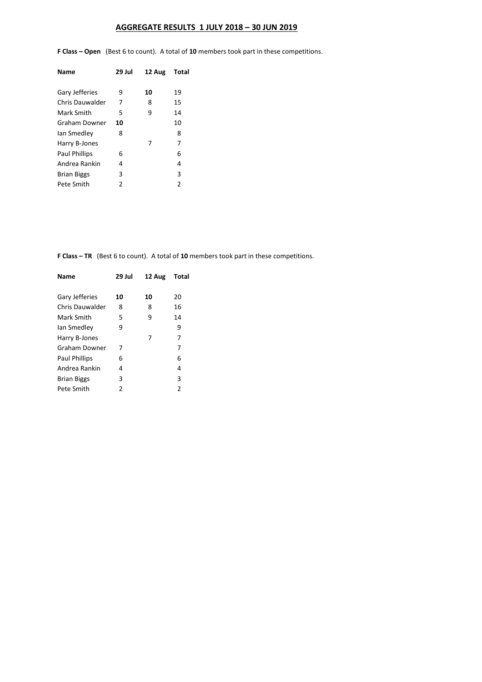# **AGGREGATE RESULTS 1 JULY 2018 – 30 JUN 2019**

**F Class – Open** (Best 6 to count). A total of **10** members took part in these competitions.

| Name                 | 29 Jul | 12 Aug | Total |
|----------------------|--------|--------|-------|
| Gary Jefferies       | ٩      | 10     | 19    |
| Chris Dauwalder      | 7      | 8      | 15    |
| Mark Smith           | 5      | 9      | 14    |
| Graham Downer        | 10     |        | 10    |
| lan Smedley          | 8      |        | 8     |
| Harry B-Jones        |        | 7      | 7     |
| <b>Paul Phillips</b> | 6      |        | 6     |
| Andrea Rankin        | 4      |        | 4     |
| <b>Brian Biggs</b>   | 3      |        | 3     |
| Pete Smith           | 2      |        | 2     |
|                      |        |        |       |

**F Class – TR** (Best 6 to count). A total of **10** members took part in these competitions.

| 29 Jul | 12 Aug | Total |
|--------|--------|-------|
| 10     | 10     | 20    |
| 8      | 8      | 16    |
| 5      | 9      | 14    |
| 9      |        | 9     |
|        | 7      | 7     |
| 7      |        | 7     |
| 6      |        | 6     |
| 4      |        | 4     |
| 3      |        | 3     |
| 2      |        | 2     |
|        |        |       |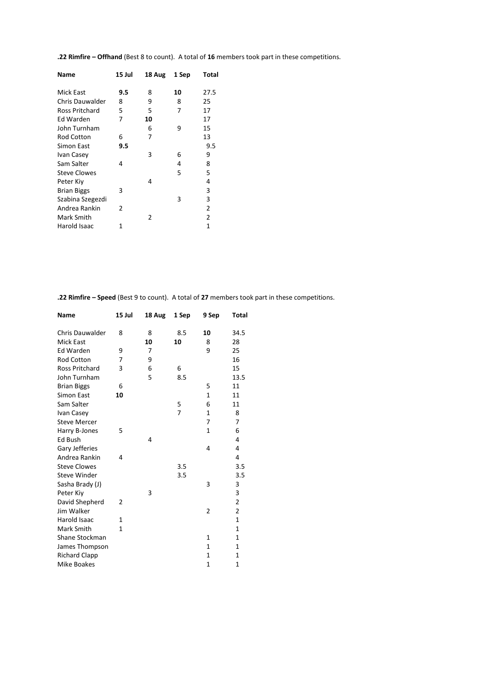| 15 Jul | 18 Aug | 1 Sep | Total          |
|--------|--------|-------|----------------|
| 9.5    | 8      | 10    | 27.5           |
| 8      | 9      | 8     | 25             |
| 5      | 5      | 7     | 17             |
| 7      | 10     |       | 17             |
|        | 6      | 9     | 15             |
| 6      | 7      |       | 13             |
| 9.5    |        |       | 9.5            |
|        | 3      | 6     | 9              |
| 4      |        | 4     | 8              |
|        |        | 5     | 5              |
|        | 4      |       | 4              |
| 3      |        |       | 3              |
|        |        | 3     | 3              |
| 2      |        |       | $\overline{2}$ |
|        | 2      |       | 2              |
| 1      |        |       | 1              |
|        |        |       |                |

**.22 Rimfire – Offhand** (Best 8 to count). A total of **16** members took part in these competitions.

**.22 Rimfire – Speed** (Best 9 to count). A total of **27** members took part in these competitions.

| <b>Name</b>            | 15 Jul | 18 Aug | 1 Sep | 9 Sep        | <b>Total</b>   |
|------------------------|--------|--------|-------|--------------|----------------|
| <b>Chris Dauwalder</b> | 8      | 8      | 8.5   | 10           | 34.5           |
| <b>Mick East</b>       |        | 10     | 10    | 8            | 28             |
| Ed Warden              | 9      | 7      |       | 9            | 25             |
| <b>Rod Cotton</b>      | 7      | 9      |       |              | 16             |
| <b>Ross Pritchard</b>  | 3      | 6      | 6     |              | 15             |
| John Turnham           |        | 5      | 8.5   |              | 13.5           |
| <b>Brian Biggs</b>     | 6      |        |       | 5            | 11             |
| Simon East             | 10     |        |       | $\mathbf{1}$ | 11             |
| Sam Salter             |        |        | 5     | 6            | 11             |
| Ivan Casey             |        |        | 7     | 1            | 8              |
| <b>Steve Mercer</b>    |        |        |       | 7            | 7              |
| Harry B-Jones          | 5      |        |       | 1            | 6              |
| Ed Bush                |        | 4      |       |              | 4              |
| Gary Jefferies         |        |        |       | 4            | 4              |
| Andrea Rankin          | 4      |        |       |              | 4              |
| <b>Steve Clowes</b>    |        |        | 3.5   |              | 3.5            |
| <b>Steve Winder</b>    |        |        | 3.5   |              | 3.5            |
| Sasha Brady (J)        |        |        |       | 3            | 3              |
| Peter Kiv              |        | 3      |       |              | 3              |
| David Shepherd         | 2      |        |       |              | 2              |
| Jim Walker             |        |        |       | 2            | $\overline{2}$ |
| Harold Isaac           | 1      |        |       |              | $\mathbf{1}$   |
| Mark Smith             | 1      |        |       |              | $\mathbf{1}$   |
| Shane Stockman         |        |        |       | 1            | $\mathbf{1}$   |
| James Thompson         |        |        |       | 1            | 1              |
| <b>Richard Clapp</b>   |        |        |       | $\mathbf{1}$ | 1              |
| <b>Mike Boakes</b>     |        |        |       | 1            | 1              |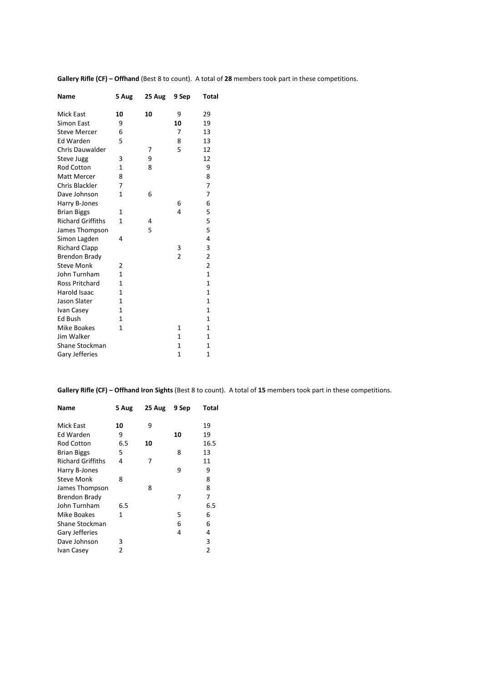| <b>Name</b>              | 5 Aug        | 25 Aug | 9 Sep          | Total          |
|--------------------------|--------------|--------|----------------|----------------|
| <b>Mick East</b>         | 10           | 10     | 9              | 29             |
| Simon East               | 9            |        | 10             | 19             |
| <b>Steve Mercer</b>      | 6            |        | 7              | 13             |
| <b>Ed Warden</b>         | 5            |        | 8              | 13             |
| Chris Dauwalder          |              | 7      | 5              | 12             |
| <b>Steve Jugg</b>        | 3            | 9      |                | 12             |
| <b>Rod Cotton</b>        | 1            | 8      |                | 9              |
| <b>Matt Mercer</b>       | 8            |        |                | 8              |
| Chris Blackler           | 7            |        |                | 7              |
| Dave Johnson             | 1            | 6      |                | 7              |
| Harry B-Jones            |              |        | 6              | 6              |
| <b>Brian Biggs</b>       | 1            |        | 4              | 5              |
| <b>Richard Griffiths</b> | 1            | 4      |                | 5              |
| James Thompson           |              | 5      |                | 5              |
| Simon Lagden             | 4            |        |                | 4              |
| <b>Richard Clapp</b>     |              |        | 3              | 3              |
| <b>Brendon Brady</b>     |              |        | $\overline{2}$ | $\overline{c}$ |
| <b>Steve Monk</b>        | 2            |        |                | $\overline{2}$ |
| John Turnham             | 1            |        |                | $\mathbf{1}$   |
| Ross Pritchard           | 1            |        |                | 1              |
| Harold Isaac             | 1            |        |                | $\mathbf{1}$   |
| Jason Slater             | 1            |        |                | 1              |
| Ivan Casey               | $\mathbf{1}$ |        |                | 1              |
| Ed Bush                  | 1            |        |                | 1              |
| <b>Mike Boakes</b>       | 1            |        | 1              | 1              |
| Jim Walker               |              |        | 1              | 1              |
| Shane Stockman           |              |        | $\mathbf{1}$   | $\mathbf{1}$   |
| Gary Jefferies           |              |        | $\mathbf{1}$   | 1              |
|                          |              |        |                |                |

**Gallery Rifle (CF) – Offhand** (Best 8 to count). A total of **28** members took part in these competitions.

**Gallery Rifle (CF) – Offhand Iron Sights** (Best 8 to count). A total of **15** members took part in these competitions.

| Name                     | 5 Aug | 25 Aug | 9 Sep | Total          |
|--------------------------|-------|--------|-------|----------------|
| <b>Mick East</b>         | 10    | 9      |       | 19             |
| Ed Warden                | 9     |        | 10    | 19             |
| Rod Cotton               | 6.5   | 10     |       | 16.5           |
| <b>Brian Biggs</b>       | 5     |        | 8     | 13             |
| <b>Richard Griffiths</b> | 4     | 7      |       | 11             |
| Harry B-Jones            |       |        | 9     | 9              |
| <b>Steve Monk</b>        | 8     |        |       | 8              |
| James Thompson           |       | 8      |       | 8              |
| Brendon Brady            |       |        | 7     | 7              |
| John Turnham             | 6.5   |        |       | 6.5            |
| Mike Boakes              | 1     |        | 5     | 6              |
| Shane Stockman           |       |        | 6     | 6              |
| Gary Jefferies           |       |        | 4     | 4              |
| Dave Johnson             | 3     |        |       | 3              |
| Ivan Casey               | 2     |        |       | $\overline{2}$ |
|                          |       |        |       |                |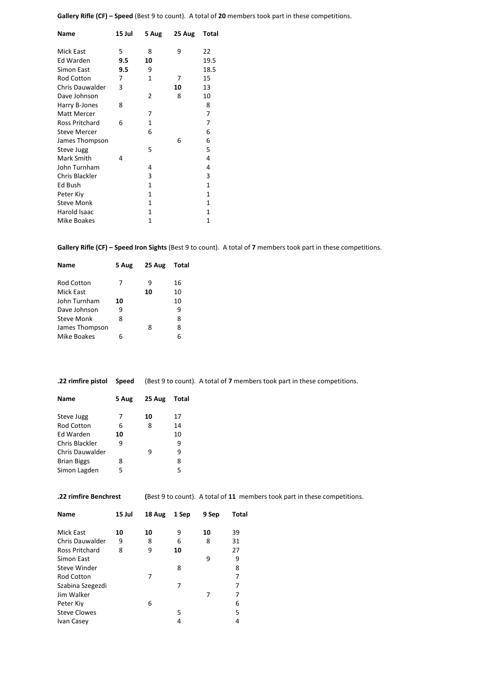**Gallery Rifle (CF) – Speed** (Best 9 to count). A total of **20** members took part in these competitions.

| Name                | 15 Jul | 5 Aug | 25 Aug | Total        |
|---------------------|--------|-------|--------|--------------|
| <b>Mick East</b>    | 5      | 8     | 9      | 22           |
| Ed Warden           | 9.5    | 10    |        | 19.5         |
| Simon East          | 9.5    | 9     |        | 18.5         |
| <b>Rod Cotton</b>   | 7      | 1     | 7      | 15           |
| Chris Dauwalder     | 3      |       | 10     | 13           |
| Dave Johnson        |        | 2     | 8      | 10           |
| Harry B-Jones       | 8      |       |        | 8            |
| Matt Mercer         |        | 7     |        | 7            |
| Ross Pritchard      | 6      | 1     |        | 7            |
| <b>Steve Mercer</b> |        | 6     |        | 6            |
| James Thompson      |        |       | 6      | 6            |
| Steve Jugg          |        | 5     |        | 5            |
| Mark Smith          | 4      |       |        | 4            |
| John Turnham        |        | 4     |        | 4            |
| Chris Blackler      |        | 3     |        | 3            |
| Ed Bush             |        | 1     |        | $\mathbf{1}$ |
| Peter Kiy           |        | 1     |        | 1            |
| <b>Steve Monk</b>   |        | 1     |        | 1            |
| Harold Isaac        |        | 1     |        | 1            |
| Mike Boakes         |        | 1     |        | 1            |
|                     |        |       |        |              |

**Gallery Rifle (CF) – Speed Iron Sights** (Best 9 to count). A total of **7** members took part in these competitions.

| <b>Name</b>       | 5 Aug | 25 Aug | Total |
|-------------------|-------|--------|-------|
| Rod Cotton        | 7     | ٩      | 16    |
| Mick East         |       | 10     | 10    |
| John Turnham      | 10    |        | 10    |
| Dave Johnson      | ٩     |        | 9     |
| <b>Steve Monk</b> | 8     |        | 8     |
| James Thompson    |       | 8      | 8     |
| Mike Boakes       | 6     |        | 6     |
|                   |       |        |       |

**.22 rimfire pistol Speed** (Best 9 to count). A total of **7** members took part in these competitions.

| Name               | 5 Aug | 25 Aug | Total |
|--------------------|-------|--------|-------|
| Steve Jugg         | 7     | 10     | 17    |
| <b>Rod Cotton</b>  | 6     | 8      | 14    |
| <b>Fd Warden</b>   | 10    |        | 10    |
| Chris Blackler     | 9     |        | g     |
| Chris Dauwalder    |       | q      | ٩     |
| <b>Brian Biggs</b> | 8     |        | 8     |
| Simon Lagden       | 5     |        | 5     |
|                    |       |        |       |

**.22 rimfire Benchrest (**Best 9 to count). A total of **11** members took part in these competitions.

| <b>Name</b>         | 15 Jul | 18 Aug | 1 Sep | 9 Sep | Total |
|---------------------|--------|--------|-------|-------|-------|
| Mick East           | 10     | 10     | 9     | 10    | 39    |
| Chris Dauwalder     | 9      | 8      | 6     | 8     | 31    |
| Ross Pritchard      | 8      | 9      | 10    |       | 27    |
| Simon East          |        |        |       | 9     | 9     |
| Steve Winder        |        |        | 8     |       | 8     |
| <b>Rod Cotton</b>   |        | 7      |       |       | 7     |
| Szabina Szegezdi    |        |        | 7     |       | 7     |
| Jim Walker          |        |        |       | 7     | 7     |
| Peter Kiy           |        | 6      |       |       | 6     |
| <b>Steve Clowes</b> |        |        | 5     |       | 5     |
| Ivan Casey          |        |        | 4     |       | 4     |